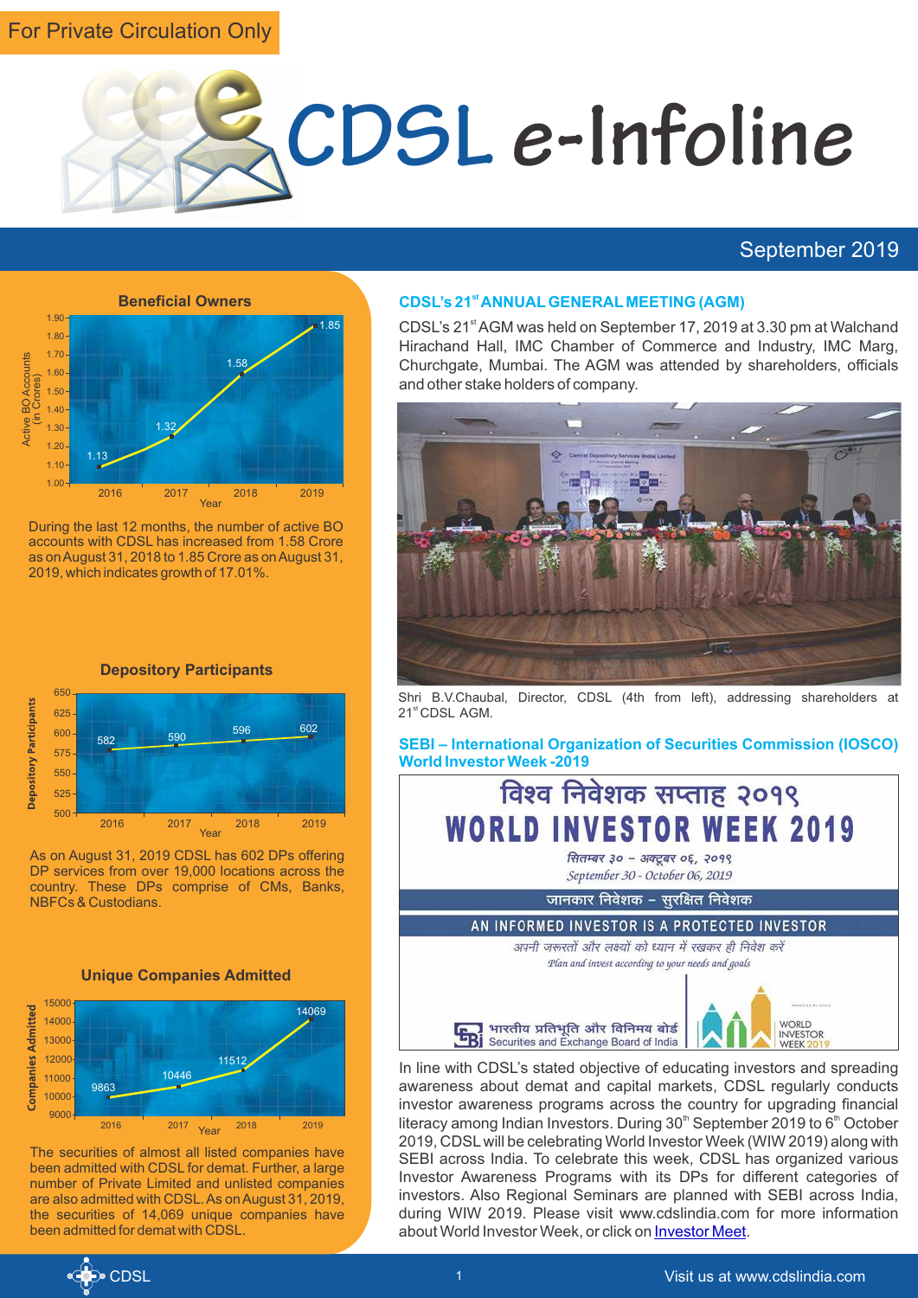# For Private Circulation Only



# September 2019



During the last 12 months, the number of active BO accounts with CDSL has increased from 1.58 Crore as on August 31, 2018 to 1.85 Crore as on August 31, 2019, which indicates growth of 17.01%.



As on August 31, 2019 CDSL has 602 DPs offering DP services from over 19,000 locations across the country. These DPs comprise of CMs, Banks, NBFCs & Custodians.



<sup>2016</sup> 2017 2018 2019 9000 Year

The securities of almost all listed companies have been admitted with CDSL for demat. Further, a large number of Private Limited and unlisted companies are also admitted with CDSL. As on August 31, 2019, the securities of 14,069 unique companies have been admitted for demat with CDSL.

#### **st CDSL's 21 ANNUALGENERAL MEETING (AGM)**

CDSL's 21<sup>st</sup> AGM was held on September 17, 2019 at 3.30 pm at Walchand Hirachand Hall, IMC Chamber of Commerce and Industry, IMC Marg, Churchgate, Mumbai. The AGM was attended by shareholders, officials and other stake holders of company.



Shri B.V.Chaubal, Director, CDSL (4th from left), addressing shareholders at 21<sup>st</sup> CDSL AGM.

**SEBI – International Organization of Securities Commission (IOSCO) World Investor Week -2019**

विश्व निवेशक सप्ताह २०१९ **WORLD INVESTOR WEEK 2019** सितम्बर ३० - अक्टूबर ०६, २०१९ September 30 - October 06, 2019 जानकार निवेशक – सुरक्षित निवेशक AN INFORMED INVESTOR IS A PROTECTED INVESTOR अपनी जरूरतों और लक्ष्यों को ध्यान में रखकर ही निवेश करे Plan and invest according to your needs and goals





In line with CDSL's stated objective of educating investors and spreading awareness about demat and capital markets, CDSL regularly conducts investor awareness programs across the country for upgrading financial literacy among Indian Investors. During  $30<sup>th</sup>$  September 2019 to  $6<sup>th</sup>$  October 2019, CDSLwill be celebrating World Investor Week (WIW 2019) along with SEBI across India. To celebrate this week, CDSL has organized various Investor Awareness Programs with its DPs for different categories of investors. Also Regional Seminars are planned with SEBI across India, during WIW 2019. Please visit www.cdslindia.com for more information about World Investor Week, or click on [Investor Meet](https://www.cdslindia.com/investors/investor-meet.aspx).



9863

11000

10000